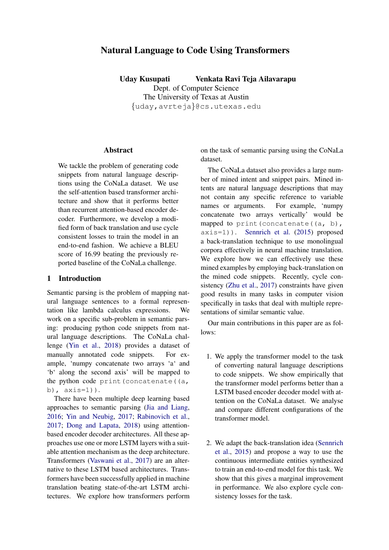# Natural Language to Code Using Transformers

Uday Kusupati Venkata Ravi Teja Ailavarapu

Dept. of Computer Science The University of Texas at Austin {uday,avrteja}@cs.utexas.edu

# **Abstract**

We tackle the problem of generating code snippets from natural language descriptions using the CoNaLa dataset. We use the self-attention based transformer architecture and show that it performs better than recurrent attention-based encoder decoder. Furthermore, we develop a modified form of back translation and use cycle consistent losses to train the model in an end-to-end fashion. We achieve a BLEU score of 16.99 beating the previously reported baseline of the CoNaLa challenge.

## 1 Introduction

Semantic parsing is the problem of mapping natural language sentences to a formal representation like lambda calculus expressions. We work on a specific sub-problem in semantic parsing: producing python code snippets from natural language descriptions. The CoNaLa challenge [\(Yin et al.,](#page-6-0) [2018\)](#page-6-0) provides a dataset of manually annotated code snippets. For example, 'numpy concatenate two arrays 'a' and 'b' along the second axis' will be mapped to the python code print (concatenate  $(a, a)$ b), axis=1)).

There have been multiple deep learning based approaches to semantic parsing [\(Jia and Liang,](#page-6-1) [2016;](#page-6-1) [Yin and Neubig,](#page-6-2) [2017;](#page-6-2) [Rabinovich et al.,](#page-6-3) [2017;](#page-6-3) [Dong and Lapata,](#page-6-4) [2018\)](#page-6-4) using attentionbased encoder decoder architectures. All these approaches use one or more LSTM layers with a suitable attention mechanism as the deep architecture. Transformers [\(Vaswani et al.,](#page-6-5) [2017\)](#page-6-5) are an alternative to these LSTM based architectures. Transformers have been successfully applied in machine translation beating state-of-the-art LSTM architectures. We explore how transformers perform

on the task of semantic parsing using the CoNaLa dataset.

The CoNaLa dataset also provides a large number of mined intent and snippet pairs. Mined intents are natural language descriptions that may not contain any specific reference to variable names or arguments. For example, 'numpy concatenate two arrays vertically' would be mapped to print (concatenate  $((a, b),$ axis=1)). [Sennrich et al.](#page-6-6) [\(2015\)](#page-6-6) proposed a back-translation technique to use monolingual corpora effectively in neural machine translation. We explore how we can effectively use these mined examples by employing back-translation on the mined code snippets. Recently, cycle consistency [\(Zhu et al.,](#page-6-7) [2017\)](#page-6-7) constraints have given good results in many tasks in computer vision specifically in tasks that deal with multiple representations of similar semantic value.

Our main contributions in this paper are as follows:

- 1. We apply the transformer model to the task of converting natural language descriptions to code snippets. We show empirically that the transformer model performs better than a LSTM based encoder decoder model with attention on the CoNaLa dataset. We analyse and compare different configurations of the transformer model.
- 2. We adapt the back-translation idea [\(Sennrich](#page-6-6) [et al.,](#page-6-6) [2015\)](#page-6-6) and propose a way to use the continuous intermediate entities synthesized to train an end-to-end model for this task. We show that this gives a marginal improvement in performance. We also explore cycle consistency losses for the task.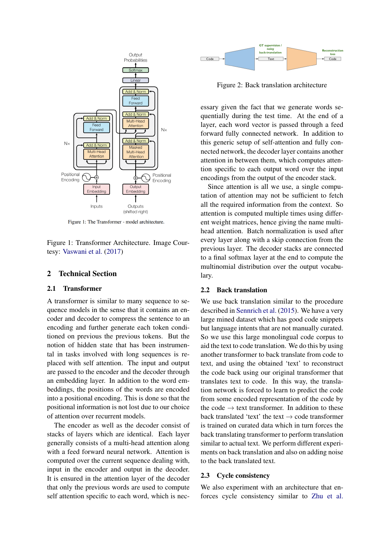

Figure 1: The Transformer - model architecture.

Figure 1: Transformer Architecture. Image Courtesy: [Vaswani et al.](#page-6-5) [\(2017\)](#page-6-5)

## 2 Technical Section

#### 2.1 Transformer

A transformer is similar to many sequence to sequence models in the sense that it contains an encoder and decoder to compress the sentence to an encoding and further generate each token conditioned on previous the previous tokens. But the notion of hidden state that has been instrumental in tasks involved with long sequences is replaced with self attention. The input and output are passed to the encoder and the decoder through an embedding layer. In addition to the word embeddings, the positions of the words are encoded into a positional encoding. This is done so that the positional information is not lost due to our choice of attention over recurrent models.

The encoder as well as the decoder consist of stacks of layers which are identical. Each layer generally consists of a multi-head attention along with a feed forward neural network. Attention is computed over the current sequence dealing with, input in the encoder and output in the decoder. It is ensured in the attention layer of the decoder that only the previous words are used to compute self attention specific to each word, which is nec-



Figure 2: Back translation architecture

essary given the fact that we generate words sequentially during the test time. At the end of a layer, each word vector is passed through a feed forward fully connected network. In addition to this generic setup of self-attention and fully connected network, the decoder layer contains another attention in between them, which computes attention specific to each output word over the input encodings from the output of the encoder stack.

Since attention is all we use, a single computation of attention may not be sufficient to fetch all the required information from the context. So attention is computed multiple times using different weight matrices, hence giving the name multihead attention. Batch normalization is used after every layer along with a skip connection from the previous layer. The decoder stacks are connected to a final softmax layer at the end to compute the multinomial distribution over the output vocabulary.

### 2.2 Back translation

We use back translation similar to the procedure described in [Sennrich et al.](#page-6-6) [\(2015\)](#page-6-6). We have a very large mined dataset which has good code snippets but language intents that are not manually curated. So we use this large monolingual code corpus to aid the text to code translation. We do this by using another transformer to back translate from code to text, and using the obtained 'text' to reconstruct the code back using our original transformer that translates text to code. In this way, the translation network is forced to learn to predict the code from some encoded representation of the code by the code  $\rightarrow$  text transformer. In addition to these back translated 'text' the text  $\rightarrow$  code transformer is trained on curated data which in turn forces the back translating transformer to perform translation similar to actual text. We perform different experiments on back translation and also on adding noise to the back translated text.

#### 2.3 Cycle consistency

We also experiment with an architecture that enforces cycle consistency similar to [Zhu et al.](#page-6-7)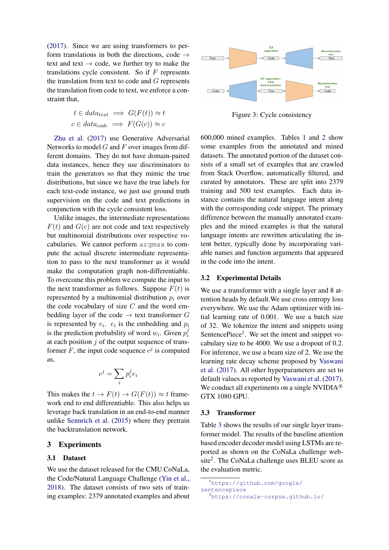[\(2017\)](#page-6-7). Since we are using transformers to perform translations in both the directions, code  $\rightarrow$ text and text  $\rightarrow$  code, we further try to make the translations cycle consistent. So if  $F$  represents the translation from text to code and  $G$  represents the translation from code to text, we enforce a constraint that,

$$
t \in data_{text} \implies G(F(t)) \approx t
$$
  

$$
c \in data_{code} \implies F(G(c)) \approx c
$$

[Zhu et al.](#page-6-7) [\(2017\)](#page-6-7) use Generative Adversarial Networks to model  $G$  and  $F$  over images from different domains. They do not have domain-paired data instances, hence they use discriminators to train the generators so that they mimic the true distributions, but since we have the true labels for each text-code instance, we just use ground truth supervision on the code and text predictions in conjunction with the cycle consistent loss.

Unlike images, the intermediate representations  $F(t)$  and  $G(c)$  are not code and text respectively but multinomial distributions over respective vocabularies. We cannot perform argmax to compute the actual discrete intermediate representation to pass to the next transformer as it would make the computation graph non-differentiable. To overcome this problem we compute the input to the next transformer as follows. Suppose  $F(t)$  is represented by a multinomial distribution  $p_i$  over the code vocabulary of size  $C$  and the word embedding layer of the code  $\rightarrow$  text transformer G is represented by  $e_i$ .  $e_i$  is the embedding and  $p_i$ is the prediction probability of word  $w_i$ . Given  $p_i^j$ i at each position  $\dot{\jmath}$  of the output sequence of transformer F, the input code sequence  $c^j$  is computed as,

$$
c^j = \sum_i p_i^j e_i
$$

This makes the  $t \to F(t) \to G(F(t)) \approx t$  framework end to end differentiable. This also helps us leverage back translation in an end-to-end manner unlike [Sennrich et al.](#page-6-6) [\(2015\)](#page-6-6) where they pretrain the backtranslation network.

## 3 Experiments

#### 3.1 Dataset

We use the dataset released for the CMU CoNaLa, the Code/Natural Language Challenge [\(Yin et al.,](#page-6-0) [2018\)](#page-6-0). The dataset consists of two sets of training examples: 2379 annotated examples and about



Figure 3: Cycle consistency

600,000 mined examples. Tables [1](#page-3-0) and [2](#page-3-1) show some examples from the annotated and mined datasets. The annotated portion of the dataset consists of a small set of examples that are crawled from Stack Overflow, automatically filtered, and curated by annotators. These are split into 2379 training and 500 test examples. Each data instance contains the natural language intent along with the corresponding code snippet. The primary difference between the manually annotated examples and the mined examples is that the natural language intents are rewritten articulating the intent better, typically done by incorporating variable names and function arguments that appeared in the code into the intent.

#### 3.2 Experimental Details

We use a transformer with a single layer and 8 attention heads by default.We use cross entropy loss everywhere. We use the Adam optimizer with initial learning rate of 0.001. We use a batch size of 32. We tokenize the intent and snippets using SentencePiece<sup>[1](#page-2-0)</sup>. We set the intent and snippet vocabulary size to be 4000. We use a dropout of 0.2. For inference, we use a beam size of 2. We use the learning rate decay scheme proposed by [Vaswani](#page-6-5) [et al.](#page-6-5) [\(2017\)](#page-6-5). All other hyperparameters are set to default values as reported by [Vaswani et al.](#page-6-5) [\(2017\)](#page-6-5). We conduct all experiments on a single NVIDI $A^{\otimes}$ GTX 1080 GPU.

## 3.3 Transformer

Table [3](#page-3-2) shows the results of our single layer transformer model. The results of the baseline attention based encoder decoder model using LSTMs are reported as shown on the CoNaLa challenge web-site<sup>[2](#page-2-1)</sup>. The CoNaLa challenge uses BLEU score as the evaluation metric.

<span id="page-2-0"></span><sup>1</sup>[https://github.com/google/](https://github.com/google/sentencepiece) [sentencepiece](https://github.com/google/sentencepiece)

<span id="page-2-1"></span><sup>2</sup><https://conala-corpus.github.io/>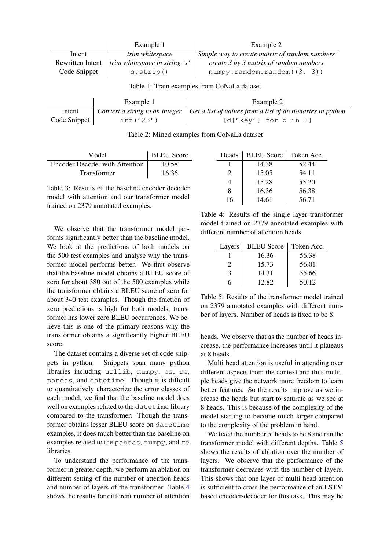|                  | Example 1                            | Example 2                                     |
|------------------|--------------------------------------|-----------------------------------------------|
| Intent           | <i>trim whitespace</i>               | Simple way to create matrix of random numbers |
| Rewritten Intent | <i>trim whitespace in string 's'</i> | create 3 by 3 matrix of random numbers        |
| Code Snippet     | s. strip()                           | numpy.random.random((3, 3))                   |

<span id="page-3-0"></span>Table 1: Train examples from CoNaLa dataset

|              | Example 1    | Example 2                                                                                        |
|--------------|--------------|--------------------------------------------------------------------------------------------------|
| Intent       |              | Convert a string to an integer $\mid$ Get a list of values from a list of dictionaries in python |
| Code Snippet | int $('23')$ | [d['key'] for d in 1]                                                                            |

<span id="page-3-1"></span>Table 2: Mined examples from CoNaLa dataset

| Model                                 | <b>BLEU</b> Score |
|---------------------------------------|-------------------|
| <b>Encoder Decoder with Attention</b> | 10.58             |
| Transformer                           | 16.36             |

<span id="page-3-2"></span>Table 3: Results of the baseline encoder decoder model with attention and our transformer model trained on 2379 annotated examples.

We observe that the transformer model performs significantly better than the baseline model. We look at the predictions of both models on the 500 test examples and analyse why the transformer model performs better. We first observe that the baseline model obtains a BLEU score of zero for about 380 out of the 500 examples while the transformer obtains a BLEU score of zero for about 340 test examples. Though the fraction of zero predictions is high for both models, transformer has lower zero BLEU occurrences. We believe this is one of the primary reasons why the transformer obtains a significantly higher BLEU score.

The dataset contains a diverse set of code snippets in python. Snippets span many python libraries including urllib, numpy, os, re, pandas, and datetime. Though it is diffcult to quantitatively characterize the error classes of each model, we find that the baseline model does well on examples related to the datetime library compared to the transformer. Though the transformer obtains lesser BLEU score on datetime examples, it does much better than the baseline on examples related to the pandas, numpy, and re libraries.

To understand the performance of the transformer in greater depth, we perform an ablation on different setting of the number of attention heads and number of layers of the transformer. Table [4](#page-3-3) shows the results for different number of attention

| Heads                       | <b>BLEU</b> Score | Token Acc. |
|-----------------------------|-------------------|------------|
|                             | 14.38             | 52.44      |
| $\mathcal{D}_{\mathcal{L}}$ | 15.05             | 54.11      |
| 4                           | 15.28             | 55.20      |
| 8                           | 16.36             | 56.38      |
| 16                          | 14.61             | 56.71      |

<span id="page-3-3"></span>Table 4: Results of the single layer transformer model trained on 2379 annotated examples with different number of attention heads.

| Layers | <b>BLEU</b> Score | Token Acc. |
|--------|-------------------|------------|
|        | 16.36             | 56.38      |
|        | 15.73             | 56.01      |
| 3      | 14.31             | 55.66      |
| h      | 12.82             | 50.12      |

<span id="page-3-4"></span>Table 5: Results of the transformer model trained on 2379 annotated examples with different number of layers. Number of heads is fixed to be 8.

heads. We observe that as the number of heads increase, the performance increases until it plateaus at 8 heads.

Multi head attention is useful in attending over different aspects from the context and thus multiple heads give the network more freedom to learn better features. So the results improve as we increase the heads but start to saturate as we see at 8 heads. This is because of the complexity of the model starting to become much larger compared to the complexity of the problem in hand.

We fixed the number of heads to be 8 and ran the transformer model with different depths. Table [5](#page-3-4) shows the results of ablation over the number of layers. We observe that the performance of the transformer decreases with the number of layers. This shows that one layer of multi head attention is sufficient to cross the performance of an LSTM based encoder-decoder for this task. This may be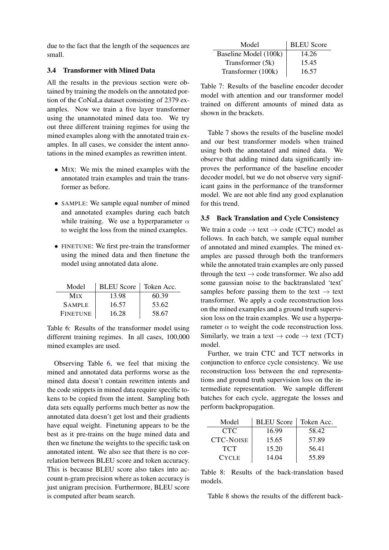due to the fact that the length of the sequences are small.

# 3.4 Transformer with Mined Data

All the results in the previous section were obtained by training the models on the annotated portion of the CoNaLa dataset consisting of 2379 examples. Now we train a five layer transformer using the unannotated mined data too. We try out three different training regimes for using the mined examples along with the annotated train examples. In all cases, we consider the intent annotations in the mined examples as rewritten intent.

- MIX: We mix the mined examples with the annotated train examples and train the transformer as before.
- SAMPLE: We sample equal number of mined and annotated examples during each batch while training. We use a hyperparameter  $\alpha$ to weight the loss from the mined examples.
- FINETUNE: We first pre-train the transformer using the mined data and then finetune the model using annotated data alone.

| Model           | <b>BLEU</b> Score | Token Acc. |
|-----------------|-------------------|------------|
| Mix             | 13.98             | 60.39      |
| <b>SAMPLE</b>   | 16.57             | 53.62      |
| <b>FINETUNE</b> | 16.28             | 58.67      |

<span id="page-4-0"></span>Table 6: Results of the transformer model using different training regimes. In all cases, 100,000 mined examples are used.

Observing Table [6,](#page-4-0) we feel that mixing the mined and annotated data performs worse as the mined data doesn't contain rewritten intents and the code snippets in mined data require specific tokens to be copied from the intent. Sampling both data sets equally performs much better as now the annotated data doesn't get lost and their gradients have equal weight. Finetuning appears to be the best as it pre-trains on the huge mined data and then we finetune the weights to the specific task on annotated intent. We also see that there is no correlation between BLEU score and token accuracy. This is because BLEU score also takes into account n-gram precision where as token accuracy is just unigram precision. Furthermore, BLEU score is computed after beam search.

| Model                 | <b>BLEU</b> Score |
|-----------------------|-------------------|
| Baseline Model (100k) | 14.26             |
| Transformer (5k)      | 15.45             |
| Transformer (100k)    | 16.57             |

<span id="page-4-1"></span>Table 7: Results of the baseline encoder decoder model with attention and our transformer model trained on different amounts of mined data as shown in the brackets.

Table [7](#page-4-1) shows the results of the baseline model and our best transformer models when trained using both the annotated and mined data. We observe that adding mined data significantly improves the performance of the baseline encoder decoder model, but we do not observe very significant gains in the performance of the transformer model. We are not able find any good explanation for this trend.

# 3.5 Back Translation and Cycle Consistency

We train a code  $\rightarrow$  text  $\rightarrow$  code (CTC) model as follows. In each batch, we sample equal number of annotated and mined examples. The mined examples are passed through both the tranformers while the annotated train examples are only passed through the text  $\rightarrow$  code transformer. We also add some gaussian noise to the backtranslated 'text' samples before passing them to the text  $\rightarrow$  text transformer. We apply a code reconstruction loss on the mined examples and a ground truth supervision loss on the train examples. We use a hyperparameter  $\alpha$  to weight the code reconstruction loss. Similarly, we train a text  $\rightarrow$  code  $\rightarrow$  text (TCT) model.

Further, we train CTC and TCT networks in conjunction to enforce cycle consistency. We use reconstruction loss between the end representations and ground truth supervision loss on the intermediate representation. We sample different batches for each cycle, aggregate the losses and perform backpropagation.

| Model            | <b>BLEU</b> Score | Token Acc. |
|------------------|-------------------|------------|
| CTC <sup>1</sup> | 16.99             | 58.42      |
| <b>CTC-NOISE</b> | 15.65             | 57.89      |
| <b>TCT</b>       | 15.20             | 56.41      |
| <b>CYCLE</b>     | 14.04             | 55.89      |

<span id="page-4-2"></span>Table 8: Results of the back-translation based models.

Table [8](#page-4-2) shows the results of the different back-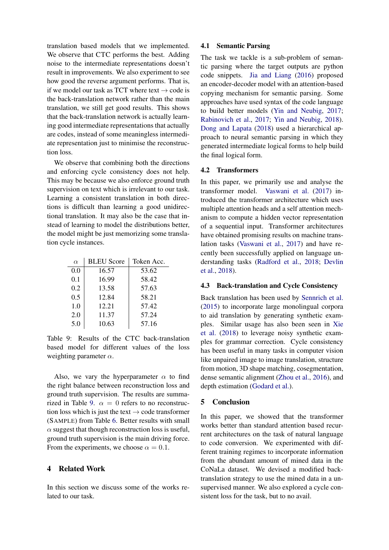translation based models that we implemented. We observe that CTC performs the best. Adding noise to the intermediate representations doesn't result in improvements. We also experiment to see how good the reverse argument performs. That is, if we model our task as TCT where text  $\rightarrow$  code is the back-translation network rather than the main translation, we still get good results. This shows that the back-translation network is actually learning good intermediate representations that actually are codes, instead of some meaningless intermediate representation just to minimise the reconstruction loss.

We observe that combining both the directions and enforcing cycle consistency does not help. This may be because we also enforce ground truth supervision on text which is irrelevant to our task. Learning a consistent translation in both directions is difficult than learning a good unidirectional translation. It may also be the case that instead of learning to model the distributions better, the model might be just memorizing some translation cycle instances.

| $\alpha$ | <b>BLEU</b> Score | Token Acc. |
|----------|-------------------|------------|
| 0.0      | 16.57             | 53.62      |
| 0.1      | 16.99             | 58.42      |
| 0.2      | 13.58             | 57.63      |
| 0.5      | 12.84             | 58.21      |
| 1.0      | 12.21             | 57.42      |
| 2.0      | 11.37             | 57.24      |
| 5.0      | 10.63             | 57.16      |

<span id="page-5-0"></span>Table 9: Results of the CTC back-translation based model for different values of the loss weighting parameter  $\alpha$ .

Also, we vary the hyperparameter  $\alpha$  to find the right balance between reconstruction loss and ground truth supervision. The results are summa-rized in Table [9.](#page-5-0)  $\alpha = 0$  refers to no reconstruction loss which is just the text  $\rightarrow$  code transformer (SAMPLE) from Table [6.](#page-4-0) Better results with small  $\alpha$  suggest that though reconstruction loss is useful, ground truth supervision is the main driving force. From the experiments, we choose  $\alpha = 0.1$ .

# 4 Related Work

In this section we discuss some of the works related to our task.

## 4.1 Semantic Parsing

The task we tackle is a sub-problem of semantic parsing where the target outputs are python code snippets. [Jia and Liang](#page-6-1) [\(2016\)](#page-6-1) proposed an encoder-decoder model with an attention-based copying mechanism for semantic parsing. Some approaches have used syntax of the code language to build better models [\(Yin and Neubig,](#page-6-2) [2017;](#page-6-2) [Rabinovich et al.,](#page-6-3) [2017;](#page-6-3) [Yin and Neubig,](#page-6-8) [2018\)](#page-6-8). [Dong and Lapata](#page-6-4) [\(2018\)](#page-6-4) used a hierarchical approach to neural semantic parsing in which they generated intermediate logical forms to help build the final logical form.

## 4.2 Transformers

In this paper, we primarily use and analyse the transformer model. [Vaswani et al.](#page-6-5) [\(2017\)](#page-6-5) introduced the transformer architecture which uses multiple attention heads and a self attention mechanism to compute a hidden vector representation of a sequential input. Transformer architectures have obtained promising results on machine translation tasks [\(Vaswani et al.,](#page-6-5) [2017\)](#page-6-5) and have recently been successfully applied on language understanding tasks [\(Radford et al.,](#page-6-9) [2018;](#page-6-9) [Devlin](#page-6-10) [et al.,](#page-6-10) [2018\)](#page-6-10).

#### 4.3 Back-translation and Cycle Consistency

Back translation has been used by [Sennrich et al.](#page-6-6) [\(2015\)](#page-6-6) to incorporate large monolingual corpora to aid translation by generating synthetic examples. Similar usage has also been seen in [Xie](#page-6-11) [et al.](#page-6-11) [\(2018\)](#page-6-11) to leverage noisy synthetic examples for grammar correction. Cycle consistency has been useful in many tasks in computer vision like unpaired image to image translation, structure from motion, 3D shape matching, cosegmentation, dense semantic alignment [\(Zhou et al.,](#page-6-12) [2016\)](#page-6-12), and depth estimation [\(Godard et al.\)](#page-6-13).

# 5 Conclusion

In this paper, we showed that the transformer works better than standard attention based recurrent architectures on the task of natural language to code conversion. We experimented with different training regimes to incorporate information from the abundant amount of mined data in the CoNaLa dataset. We devised a modified backtranslation strategy to use the mined data in a unsupervised manner. We also explored a cycle consistent loss for the task, but to no avail.